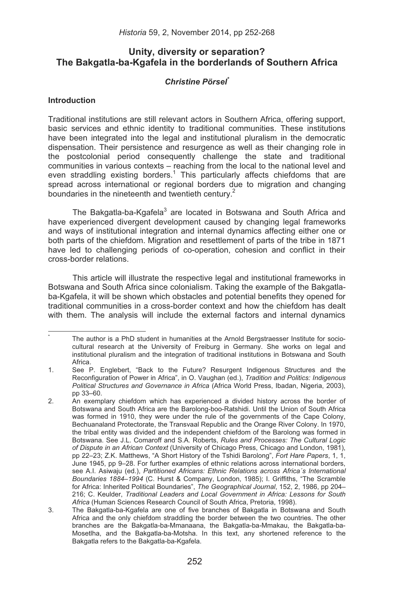# **Unity, diversity or separation? The Bakgatla-ba-Kgafela in the borderlands of Southern Africa**

# *Christine Pörsel\**

### **Introduction**

Traditional institutions are still relevant actors in Southern Africa, offering support, basic services and ethnic identity to traditional communities. These institutions have been integrated into the legal and institutional pluralism in the democratic dispensation. Their persistence and resurgence as well as their changing role in the postcolonial period consequently challenge the state and traditional communities in various contexts – reaching from the local to the national level and even straddling existing borders.<sup>1</sup> This particularly affects chiefdoms that are spread across international or regional borders due to migration and changing boundaries in the nineteenth and twentieth century. $2$ 

The Bakgatla-ba-Kgafela<sup>3</sup> are located in Botswana and South Africa and have experienced divergent development caused by changing legal frameworks and ways of institutional integration and internal dynamics affecting either one or both parts of the chiefdom. Migration and resettlement of parts of the tribe in 1871 have led to challenging periods of co-operation, cohesion and conflict in their cross-border relations.

This article will illustrate the respective legal and institutional frameworks in Botswana and South Africa since colonialism. Taking the example of the Bakgatlaba-Kgafela, it will be shown which obstacles and potential benefits they opened for traditional communities in a cross-border context and how the chiefdom has dealt with them. The analysis will include the external factors and internal dynamics

\* The author is a PhD student in humanities at the Arnold Bergstraesser Institute for sociocultural research at the University of Freiburg in Germany. She works on legal and institutional pluralism and the integration of traditional institutions in Botswana and South Africa.

<sup>1.</sup> See P. Englebert, "Back to the Future? Resurgent Indigenous Structures and the Reconfiguration of Power in Africa", in O. Vaughan (ed.), *Tradition and Politics: Indigenous Political Structures and Governance in Africa* (Africa World Press, Ibadan, Nigeria, 2003), pp 33–60.

<sup>2.</sup> An exemplary chiefdom which has experienced a divided history across the border of Botswana and South Africa are the Barolong-boo-Ratshidi. Until the Union of South Africa was formed in 1910, they were under the rule of the governments of the Cape Colony, Bechuanaland Protectorate, the Transvaal Republic and the Orange River Colony. In 1970, the tribal entity was divided and the independent chiefdom of the Barolong was formed in Botswana. See J.L. Comaroff and S.A. Roberts, *Rules and Processes: The Cultural Logic of Dispute in an African Context* (University of Chicago Press, Chicago and London, 1981), pp 22–23; Z.K. Matthews, "A Short History of the Tshidi Barolong", *Fort Hare Papers*, 1, 1, June 1945, pp 9–28. For further examples of ethnic relations across international borders, see A.I. Asiwaju (ed.), *Partitioned Africans: Ethnic Relations across Africa´s International Boundaries 1884*–*1994* (C. Hurst & Company, London, 1985); I. Griffiths, "The Scramble for Africa: Inherited Political Boundaries", *The Geographical Journal*, 152, 2, 1986, pp 204– 216; C. Keulder, *Traditional Leaders and Local Government in Africa: Lessons for South Africa* (Human Sciences Research Council of South Africa, Pretoria, 1998).

<sup>3.</sup> The Bakgatla-ba-Kgafela are one of five branches of Bakgatla in Botswana and South Africa and the only chiefdom straddling the border between the two countries. The other branches are the Bakgatla-ba-Mmanaana, the Bakgatla-ba-Mmakau, the Bakgatla-ba-Mosetlha, and the Bakgatla-ba-Motsha. In this text, any shortened reference to the Bakgatla refers to the Bakgatla-ba-Kgafela.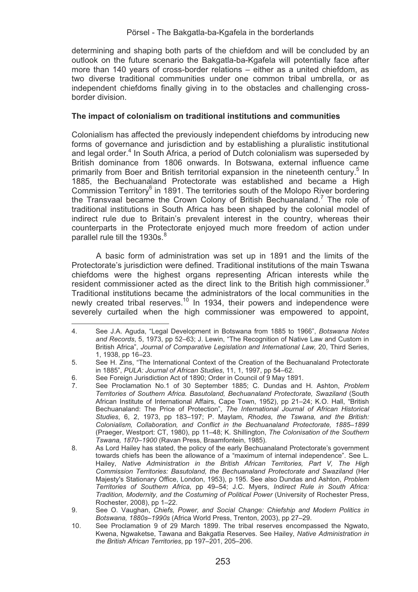determining and shaping both parts of the chiefdom and will be concluded by an outlook on the future scenario the Bakgatla-ba-Kgafela will potentially face after more than 140 years of cross-border relations – either as a united chiefdom, as two diverse traditional communities under one common tribal umbrella, or as independent chiefdoms finally giving in to the obstacles and challenging crossborder division.

#### **The impact of colonialism on traditional institutions and communities**

Colonialism has affected the previously independent chiefdoms by introducing new forms of governance and jurisdiction and by establishing a pluralistic institutional and legal order.<sup>4</sup> In South Africa, a period of Dutch colonialism was superseded by British dominance from 1806 onwards. In Botswana, external influence came primarily from Boer and British territorial expansion in the nineteenth century.<sup>5</sup> In 1885, the Bechuanaland Protectorate was established and became a High Commission Territory<sup>6</sup> in 1891. The territories south of the Molopo River bordering the Transvaal became the Crown Colony of British Bechuanaland.<sup>7</sup> The role of traditional institutions in South Africa has been shaped by the colonial model of indirect rule due to Britain's prevalent interest in the country, whereas their counterparts in the Protectorate enjoyed much more freedom of action under parallel rule till the 1930s.<sup>8</sup>

A basic form of administration was set up in 1891 and the limits of the Protectorate's jurisdiction were defined. Traditional institutions of the main Tswana chiefdoms were the highest organs representing African interests while the resident commissioner acted as the direct link to the British high commissioner.<sup>9</sup> Traditional institutions became the administrators of the local communities in the newly created tribal reserves.<sup>10</sup> In 1934, their powers and independence were severely curtailed when the high commissioner was empowered to appoint.

<sup>&</sup>lt;u> Alexandria de la contexta de la contexta de la contexta de la contexta de la contexta de la contexta de la c</u> 4. See J.A. Aguda, "Legal Development in Botswana from 1885 to 1966", *Botswana Notes and Records*, 5, 1973, pp 52–63; J. Lewin, "The Recognition of Native Law and Custom in British Africa", *Journal of Comparative Legislation and International Law,* 20, Third Series, 1, 1938, pp 16–23.

<sup>5.</sup> See H. Zins, "The International Context of the Creation of the Bechuanaland Protectorate in 1885", *PULA: Journal of African Studies*, 11, 1, 1997, pp 54–62.

<sup>6.</sup> See Foreign Jurisdiction Act of 1890; Order in Council of 9 May 1891.

<sup>7.</sup> See Proclamation No.1 of 30 September 1885; C. Dundas and H. Ashton, *Problem Territories of Southern Africa. Basutoland, Bechuanaland Protectorate, Swaziland* (South African Institute of International Affairs, Cape Town, 1952), pp 21–24; K.O. Hall, "British Bechuanaland: The Price of Protection", *The International Journal of African Historical Studies*, 6, 2, 1973, pp 183–197; P. Maylam, *Rhodes, the Tswana, and the British: Colonialism, Collaboration, and Conflict in the Bechuanaland Protectorate, 1885*–*1899* (Praeger, Westport: CT, 1980), pp 11–48; K. Shillington, *The Colonisation of the Southern Tswana, 1870*–*1900* (Ravan Press, Braamfontein, 1985).

<sup>8.</sup> As Lord Hailey has stated, the policy of the early Bechuanaland Protectorate's government towards chiefs has been the allowance of a "maximum of internal independence". See L. Hailey, *Native Administration in the British African Territories, Part V, The High Commission Territories: Basutoland, the Bechuanaland Protectorate and Swaziland* (Her Majesty's Stationary Office, London, 1953), p 195. See also Dundas and Ashton, *Problem Territories of Southern Africa*, pp 49–54; J.C. Myers, *Indirect Rule in South Africa: Tradition, Modernity, and the Costuming of Political Power* (University of Rochester Press, Rochester, 2008), pp 1–22.

<sup>9.</sup> See O. Vaughan, *Chiefs, Power, and Social Change: Chiefship and Modern Politics in Botswana, 1880s–1990s* (Africa World Press, Trenton, 2003), pp 27–29.

<sup>10.</sup> See Proclamation 9 of 29 March 1899. The tribal reserves encompassed the Ngwato, Kwena, Ngwaketse, Tawana and Bakgatla Reserves. See Hailey, *Native Administration in the British African Territories*, pp 197–201, 205–206.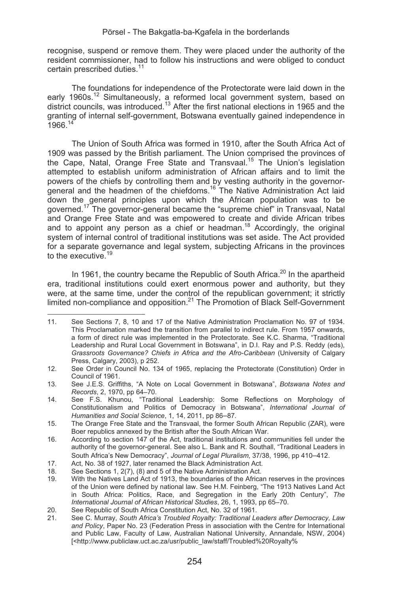recognise, suspend or remove them. They were placed under the authority of the resident commissioner, had to follow his instructions and were obliged to conduct certain prescribed duties.<sup>11</sup>

The foundations for independence of the Protectorate were laid down in the early 1960s.<sup>12</sup> Simultaneously, a reformed local government system, based on district councils, was introduced.<sup>13</sup> After the first national elections in 1965 and the granting of internal self-government, Botswana eventually gained independence in  $1966^{14}$ 

The Union of South Africa was formed in 1910, after the South Africa Act of 1909 was passed by the British parliament. The Union comprised the provinces of the Cape, Natal, Orange Free State and Transvaal.15 The Union's legislation attempted to establish uniform administration of African affairs and to limit the powers of the chiefs by controlling them and by vesting authority in the governor-<br>general and the headmen of the chiefdoms.<sup>16</sup> The Native Administration Act laid down the general principles upon which the African population was to be governed.<sup>17</sup> The governor-general became the "supreme chief" in Transvaal, Natal and Orange Free State and was empowered to create and divide African tribes and to appoint any person as a chief or headman.<sup>18</sup> Accordingly, the original system of internal control of traditional institutions was set aside. The Act provided for a separate governance and legal system, subjecting Africans in the provinces to the executive.<sup>19</sup>

In 1961, the country became the Republic of South Africa.<sup>20</sup> In the apartheid era, traditional institutions could exert enormous power and authority, but they were, at the same time, under the control of the republican government; it strictly limited non-compliance and opposition. $^{21}$  The Promotion of Black Self-Government

11. See Sections 7, 8, 10 and 17 of the Native Administration Proclamation No. 97 of 1934. This Proclamation marked the transition from parallel to indirect rule. From 1957 onwards, a form of direct rule was implemented in the Protectorate. See K.C. Sharma, "Traditional Leadership and Rural Local Government in Botswana", in D.I. Ray and P.S. Reddy (eds), *Grassroots Governance? Chiefs in Africa and the Afro-Caribbean* (University of Calgary Press, Calgary, 2003), p 252.

<sup>12.</sup> See Order in Council No. 134 of 1965, replacing the Protectorate (Constitution) Order in Council of 1961.

<sup>13.</sup> See J.E.S. Griffiths, "A Note on Local Government in Botswana", *Botswana Notes and Records*, 2, 1970, pp 64–70.

<sup>14.</sup> See F.S. Khunou, "Traditional Leadership: Some Reflections on Morphology of Constitutionalism and Politics of Democracy in Botswana", *International Journal of Humanities and Social Science*, 1, 14, 2011, pp 86–87.

<sup>15.</sup> The Orange Free State and the Transvaal, the former South African Republic (ZAR), were Boer republics annexed by the British after the South African War.

<sup>16.</sup> According to section 147 of the Act, traditional institutions and communities fell under the authority of the governor-general. See also L. Bank and R. Southall, "Traditional Leaders in South Africa's New Democracy", *Journal of Legal Pluralism*, 37/38, 1996, pp 410–412.

<sup>17.</sup> Act, No. 38 of 1927, later renamed the Black Administration Act.<br>18. See Sections 1, 2(7), (8) and 5 of the Native Administration Act.

See Sections 1, 2(7), (8) and 5 of the Native Administration Act.

<sup>19.</sup> With the Natives Land Act of 1913, the boundaries of the African reserves in the provinces of the Union were defined by national law. See H.M. Feinberg, "The 1913 Natives Land Act in South Africa: Politics, Race, and Segregation in the Early 20th Century", *The International Journal of African Historical Studies*, 26, 1, 1993, pp 65–70.

<sup>20.</sup> See Republic of South Africa Constitution Act, No. 32 of 1961.<br>21. See C. Murray. South Africa's Troubled Rovalty: Traditional Le

<sup>21.</sup> See C. Murray, *South Africa's Troubled Royalty: Traditional Leaders after Democracy, Law and Policy*, Paper No. 23 (Federation Press in association with the Centre for International and Public Law, Faculty of Law, Australian National University, Annandale, NSW, 2004) [<http://www.publiclaw.uct.ac.za/usr/public\_law/staff/Troubled%20Royalty%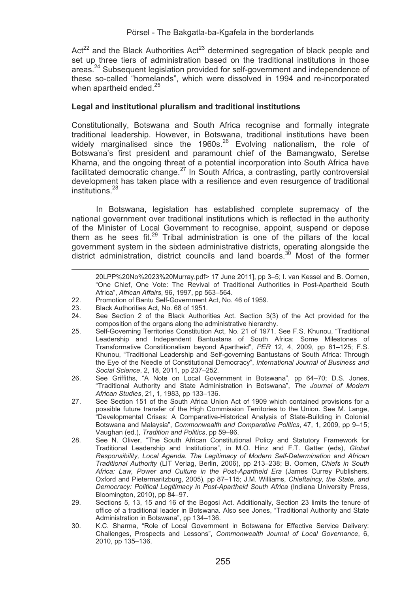Act<sup>22</sup> and the Black Authorities Act<sup>23</sup> determined segregation of black people and set up three tiers of administration based on the traditional institutions in those areas.<sup>24</sup> Subsequent legislation provided for self-government and independence of these so-called "homelands", which were dissolved in 1994 and re-incorporated when apartheid ended.<sup>25</sup>

# **Legal and institutional pluralism and traditional institutions**

Constitutionally, Botswana and South Africa recognise and formally integrate traditional leadership. However, in Botswana, traditional institutions have been widely marginalised since the 1960s. $26$  Evolving nationalism, the role of Botswana's first president and paramount chief of the Bamangwato, Seretse Khama, and the ongoing threat of a potential incorporation into South Africa have facilitated democratic change. $^{27}$  In South Africa, a contrasting, partly controversial development has taken place with a resilience and even resurgence of traditional institutions.<sup>28</sup>

In Botswana, legislation has established complete supremacy of the national government over traditional institutions which is reflected in the authority of the Minister of Local Government to recognise, appoint, suspend or depose them as he sees fit.<sup>29</sup> Tribal administration is one of the pillars of the local government system in the sixteen administrative districts, operating alongside the district administration, district councils and land boards. $30$  Most of the former

<u> El seu de la característica de la característica de la característica de la característica de la característi</u> 20LPP%20No%2023%20Murray.pdf> 17 June 2011], pp 3–5; I. van Kessel and B. Oomen, "One Chief, One Vote: The Revival of Traditional Authorities in Post-Apartheid South Africa", *African Affairs*, 96, 1997, pp 563–564.

<sup>22.</sup> Promotion of Bantu Self-Government Act, No. 46 of 1959.<br>23. Black Authorities Act, No. 68 of 1951.

<sup>23.</sup> Black Authorities Act, No. 68 of 1951.<br>24. See Section 2 of the Black Author

See Section 2 of the Black Authorities Act. Section 3(3) of the Act provided for the composition of the organs along the administrative hierarchy.

<sup>25.</sup> Self-Governing Territories Constitution Act, No. 21 of 1971. See F.S. Khunou, "Traditional Leadership and Independent Bantustans of South Africa: Some Milestones of Transformative Constitionalism beyond Apartheid", *PER* 12, 4, 2009, pp 81–125; F.S. Khunou, "Traditional Leadership and Self-governing Bantustans of South Africa: Through the Eye of the Needle of Constitutional Democracy", *International Journal of Business and Social Science*, 2, 18, 2011, pp 237–252.

<sup>26.</sup> See Griffiths, "A Note on Local Government in Botswana", pp 64–70; D.S. Jones, "Traditional Authority and State Administration in Botswana", *The Journal of Modern African Studies*, 21, 1, 1983, pp 133–136.

<sup>27.</sup> See Section 151 of the South Africa Union Act of 1909 which contained provisions for a possible future transfer of the High Commission Territories to the Union. See M. Lange, "Developmental Crises: A Comparative-Historical Analysis of State-Building in Colonial Botswana and Malaysia", *Commonwealth and Comparative Politics*, 47, 1, 2009, pp 9–15; Vaughan (ed.), *Tradition and Politics*, pp 59–96.

<sup>28.</sup> See N. Oliver, "The South African Constitutional Policy and Statutory Framework for Traditional Leadership and Institutions", in M.O. Hinz and F.T. Gatter (eds), *Global Responsibility, Local Agenda. The Legitimacy of Modern Self-Determination and African Traditional Authority* (LIT Verlag, Berlin, 2006), pp 213–238; B. Oomen, *Chiefs in South Africa: Law, Power and Culture in the Post-Apartheid Era* (James Currey Publishers, Oxford and Pietermaritzburg, 2005), pp 87–115; J.M. Williams, *Chieftaincy, the State, and Democracy: Political Legitimacy in Post-Apartheid South Africa* (Indiana University Press, Bloomington, 2010), pp 84–97.

<sup>29.</sup> Sections 5, 13, 15 and 16 of the Bogosi Act. Additionally, Section 23 limits the tenure of office of a traditional leader in Botswana. Also see Jones, "Traditional Authority and State Administration in Botswana", pp 134–136.

<sup>30.</sup> K.C. Sharma, "Role of Local Government in Botswana for Effective Service Delivery: Challenges, Prospects and Lessons", *Commonwealth Journal of Local Governance*, 6, 2010, pp 135–136.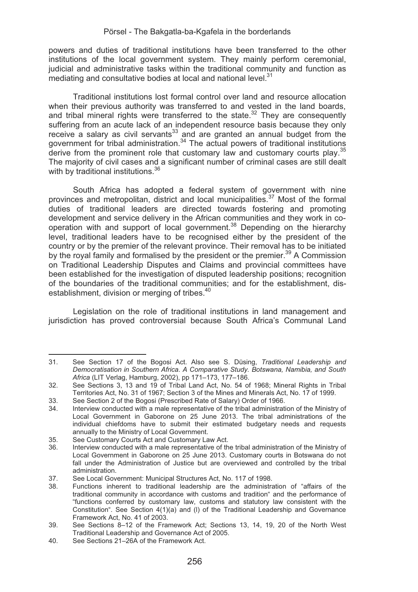powers and duties of traditional institutions have been transferred to the other institutions of the local government system. They mainly perform ceremonial, judicial and administrative tasks within the traditional community and function as mediating and consultative bodies at local and national level. $31$ 

Traditional institutions lost formal control over land and resource allocation when their previous authority was transferred to and vested in the land boards, and tribal mineral rights were transferred to the state.<sup>32</sup> They are consequently suffering from an acute lack of an independent resource basis because they only receive a salary as civil servants $^{33}$  and are granted an annual budget from the government for tribal administration.<sup>34</sup> The actual powers of traditional institutions derive from the prominent role that customary law and customary courts play.<sup>35</sup> The majority of civil cases and a significant number of criminal cases are still dealt with by traditional institutions.<sup>36</sup>

South Africa has adopted a federal system of government with nine provinces and metropolitan, district and local municipalities.37 Most of the formal duties of traditional leaders are directed towards fostering and promoting development and service delivery in the African communities and they work in cooperation with and support of local government.38 Depending on the hierarchy level, traditional leaders have to be recognised either by the president of the country or by the premier of the relevant province. Their removal has to be initiated by the royal family and formalised by the president or the premier.<sup>39</sup> A Commission on Traditional Leadership Disputes and Claims and provincial committees have been established for the investigation of disputed leadership positions; recognition of the boundaries of the traditional communities; and for the establishment, disestablishment, division or merging of tribes.<sup>40</sup>

Legislation on the role of traditional institutions in land management and jurisdiction has proved controversial because South Africa's Communal Land

<u> 1989 - Johann Stein, mars an t-Amerikaansk kommunister (</u>

<sup>31.</sup> See Section 17 of the Bogosi Act. Also see S. Düsing, *Traditional Leadership and Democratisation in Southern Africa. A Comparative Study. Botswana, Namibia, and South Africa* (LIT Verlag, Hamburg, 2002), pp 171–173, 177–186.

<sup>32.</sup> See Sections 3, 13 and 19 of Tribal Land Act, No. 54 of 1968; Mineral Rights in Tribal Territories Act, No. 31 of 1967; Section 3 of the Mines and Minerals Act, No. 17 of 1999.

<sup>33.</sup> See Section 2 of the Bogosi (Prescribed Rate of Salary) Order of 1966.<br>34. Interview conducted with a male representative of the tribal administration

<sup>34.</sup> Interview conducted with a male representative of the tribal administration of the Ministry of Local Government in Gaborone on 25 June 2013. The tribal administrations of the individual chiefdoms have to submit their estimated budgetary needs and requests annually to the Ministry of Local Government.

<sup>35.</sup> See Customary Courts Act and Customary Law Act.

Interview conducted with a male representative of the tribal administration of the Ministry of Local Government in Gaborone on 25 June 2013. Customary courts in Botswana do not fall under the Administration of Justice but are overviewed and controlled by the tribal administration.

<sup>37.</sup> See Local Government: Municipal Structures Act, No. 117 of 1998.<br>38. Eunctions, inherent to traditional Jeadership are the administrational

Functions inherent to traditional leadership are the administration of "affairs of the traditional community in accordance with customs and tradition" and the performance of "functions conferred by customary law, customs and statutory law consistent with the Constitution". See Section 4(1)(a) and (l) of the Traditional Leadership and Governance Framework Act, No. 41 of 2003.

<sup>39.</sup> See Sections 8–12 of the Framework Act; Sections 13, 14, 19, 20 of the North West Traditional Leadership and Governance Act of 2005.

<sup>40.</sup> See Sections 21–26A of the Framework Act.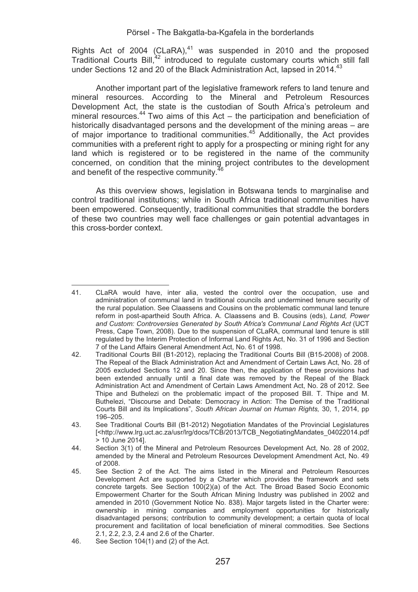Rights Act of 2004 (CLaRA), $41$  was suspended in 2010 and the proposed Traditional Courts Bill,<sup>42</sup> introduced to regulate customary courts which still fall under Sections 12 and 20 of the Black Administration Act. lapsed in 2014.<sup>43</sup>

Another important part of the legislative framework refers to land tenure and mineral resources. According to the Mineral and Petroleum Resources Development Act, the state is the custodian of South Africa's petroleum and<br>mineral resources.<sup>44</sup> Two aims of this Act – the participation and beneficiation of historically disadvantaged persons and the development of the mining areas – are of major importance to traditional communities.45 Additionally, the Act provides communities with a preferent right to apply for a prospecting or mining right for any land which is registered or to be registered in the name of the community concerned, on condition that the mining project contributes to the development and benefit of the respective community.<sup>4</sup>

As this overview shows, legislation in Botswana tends to marginalise and control traditional institutions; while in South Africa traditional communities have been empowered. Consequently, traditional communities that straddle the borders of these two countries may well face challenges or gain potential advantages in this cross-border context.

<sup>&</sup>lt;u> Alexandria de la contexta de la contexta de la contexta de la contexta de la contexta de la contexta de la c</u> 41. CLaRA would have, inter alia, vested the control over the occupation, use and administration of communal land in traditional councils and undermined tenure security of the rural population. See Claassens and Cousins on the problematic communal land tenure reform in post-apartheid South Africa. A. Claassens and B. Cousins (eds), *Land, Power and Custom: Controversies Generated by South Africa's Communal Land Rights Act* (UCT Press, Cape Town, 2008). Due to the suspension of CLaRA, communal land tenure is still regulated by the Interim Protection of Informal Land Rights Act, No. 31 of 1996 and Section 7 of the Land Affairs General Amendment Act, No. 61 of 1998.

<sup>42.</sup> Traditional Courts Bill (B1-2012), replacing the Traditional Courts Bill (B15-2008) of 2008. The Repeal of the Black Administration Act and Amendment of Certain Laws Act, No. 28 of 2005 excluded Sections 12 and 20. Since then, the application of these provisions had been extended annually until a final date was removed by the Repeal of the Black Administration Act and Amendment of Certain Laws Amendment Act, No. 28 of 2012. See Thipe and Buthelezi on the problematic impact of the proposed Bill. T. Thipe and M. Buthelezi, "Discourse and Debate: Democracy in Action: The Demise of the Traditional Courts Bill and its Implications", *South African Journal on Human Rights,* 30, 1, 2014, pp 196–205.

<sup>43.</sup> See Traditional Courts Bill (B1-2012) Negotiation Mandates of the Provincial Legislatures [<http://www.lrg.uct.ac.za/usr/lrg/docs/TCB/2013/TCB\_NegotiatingMandates\_04022014.pdf > 10 June 2014].

<sup>44.</sup> Section 3(1) of the Mineral and Petroleum Resources Development Act, No. 28 of 2002, amended by the Mineral and Petroleum Resources Development Amendment Act, No. 49 of 2008.

<sup>45.</sup> See Section 2 of the Act. The aims listed in the Mineral and Petroleum Resources Development Act are supported by a Charter which provides the framework and sets concrete targets. See Section 100(2)(a) of the Act. The Broad Based Socio Economic Empowerment Charter for the South African Mining Industry was published in 2002 and amended in 2010 (Government Notice No. 838). Major targets listed in the Charter were: ownership in mining companies and employment opportunities for historically disadvantaged persons; contribution to community development; a certain quota of local procurement and facilitation of local beneficiation of mineral commodities. See Sections 2.1, 2.2, 2.3, 2.4 and 2.6 of the Charter.

<sup>46.</sup> See Section 104(1) and (2) of the Act.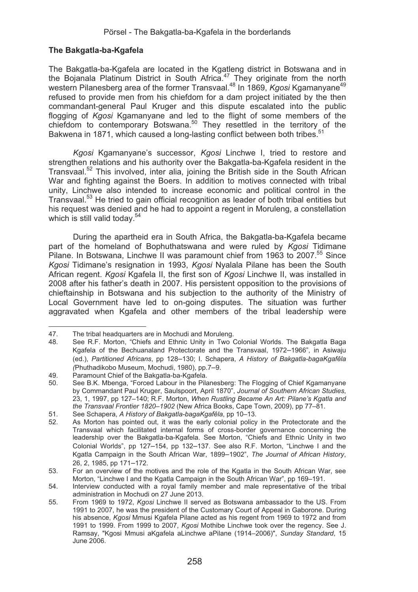## **The Bakgatla-ba-Kgafela**

The Bakgatla-ba-Kgafela are located in the Kgatleng district in Botswana and in the Bojanala Platinum District in South Africa. $47$  They originate from the north western Pilanesberg area of the former Transvaal.<sup>48</sup> In 1869, *Kgosi* Kgamanyane<sup>49</sup> refused to provide men from his chiefdom for a dam project initiated by the then commandant-general Paul Kruger and this dispute escalated into the public flogging of *Kgosi* Kgamanyane and led to the flight of some members of the chiefdom to contemporary Botswana.<sup>50</sup> They resettled in the territory of the Bakwena in 1871, which caused a long-lasting conflict between both tribes.<sup>51</sup>

*Kgosi* Kgamanyane's successor, *Kgosi* Linchwe I, tried to restore and strengthen relations and his authority over the Bakgatla-ba-Kgafela resident in the Transvaal.52 This involved, inter alia, joining the British side in the South African War and fighting against the Boers. In addition to motives connected with tribal unity, Linchwe also intended to increase economic and political control in the Transvaal.<sup>53</sup> He tried to gain official recognition as leader of both tribal entities but his request was denied and he had to appoint a regent in Moruleng, a constellation which is still valid today.<sup>54</sup>

During the apartheid era in South Africa, the Bakgatla-ba-Kgafela became part of the homeland of Bophuthatswana and were ruled by *Kgosi* Tidimane Pilane. In Botswana, Linchwe II was paramount chief from 1963 to 2007.<sup>55</sup> Since *Kgosi* Tidimane's resignation in 1993, *Kgosi* Nyalala Pilane has been the South African regent. *Kgosi* Kgafela II, the first son of *Kgosi* Linchwe II, was installed in 2008 after his father's death in 2007. His persistent opposition to the provisions of chieftainship in Botswana and his subjection to the authority of the Ministry of Local Government have led to on-going disputes. The situation was further aggravated when Kgafela and other members of the tribal leadership were

47. The tribal headquarters are in Mochudi and Moruleng.<br>48. See R.F. Morton. "Chiefs and Ethnic Unity in Two (

See R.F. Morton, "Chiefs and Ethnic Unity in Two Colonial Worlds. The Bakgatla Baga Kgafela of the Bechuanaland Protectorate and the Transvaal, 1972–1966", in Asiwaju (ed.), *Partitioned Africans*, pp 128–130; I. Schapera, *A History of Bakgatla-bagaKgafêla (*Phuthadikobo Museum, Mochudi, 1980), pp.7–9.

<sup>49.</sup> Paramount Chief of the Bakgatla-ba-Kgafela.<br>50. See B.K. Mbenga "Forced Labour in the Pila

<sup>50.</sup> See B.K. Mbenga, "Forced Labour in the Pilanesberg: The Flogging of Chief Kgamanyane by Commandant Paul Kruger, Saulspoort, April 1870", *Journal of Southern African Studies*, 23, 1, 1997, pp 127–140; R.F. Morton, *When Rustling Became An Art: Pilane's Kgatla and the Transvaal Frontier 1820*–*1902* (New Africa Books, Cape Town, 2009), pp 77–81.

<sup>51.</sup> See Schapera, *A History of Bakgatla-bagaKgafêla*, pp 10–13.

As Morton has pointed out, it was the early colonial policy in the Protectorate and the Transvaal which facilitated internal forms of cross-border governance concerning the leadership over the Bakgatla-ba-Kgafela. See Morton, "Chiefs and Ethnic Unity in two Colonial Worlds", pp 127–154, pp 132–137. See also R.F. Morton, "Linchwe I and the Kgatla Campaign in the South African War, 1899–1902", *The Journal of African History*, 26, 2, 1985, pp 171–172.

<sup>53.</sup> For an overview of the motives and the role of the Kgatla in the South African War, see Morton, "Linchwe I and the Kgatla Campaign in the South African War", pp 169–191.

<sup>54.</sup> Interview conducted with a royal family member and male representative of the tribal administration in Mochudi on 27 June 2013.

<sup>55.</sup> From 1969 to 1972, *Kgosi* Linchwe II served as Botswana ambassador to the US. From 1991 to 2007, he was the president of the Customary Court of Appeal in Gaborone. During his absence, *Kgosi* Mmusi Kgafela Pilane acted as his regent from 1969 to 1972 and from 1991 to 1999. From 1999 to 2007, *Kgosi* Mothibe Linchwe took over the regency. See J. Ramsay, "Kgosi Mmusi aKgafela aLinchwe aPilane (1914–2006)", *Sunday Standard*, 15 June 2006.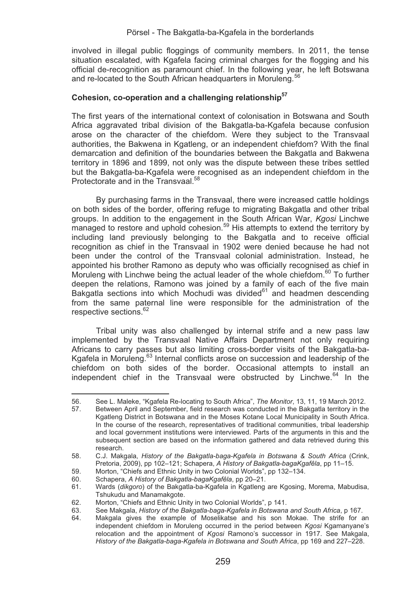involved in illegal public floggings of community members. In 2011, the tense situation escalated, with Kgafela facing criminal charges for the flogging and his official de-recognition as paramount chief. In the following year, he left Botswana and re-located to the South African headquarters in Moruleng.<sup>56</sup>

## **Cohesion, co-operation and a challenging relationship57**

The first years of the international context of colonisation in Botswana and South Africa aggravated tribal division of the Bakgatla-ba-Kgafela because confusion arose on the character of the chiefdom. Were they subject to the Transvaal authorities, the Bakwena in Kgatleng, or an independent chiefdom? With the final demarcation and definition of the boundaries between the Bakgatla and Bakwena territory in 1896 and 1899, not only was the dispute between these tribes settled but the Bakgatla-ba-Kgafela were recognised as an independent chiefdom in the Protectorate and in the Transvaal.<sup>58</sup>

By purchasing farms in the Transvaal, there were increased cattle holdings on both sides of the border, offering refuge to migrating Bakgatla and other tribal groups. In addition to the engagement in the South African War, *Kgosi* Linchwe managed to restore and uphold cohesion.<sup>59</sup> His attempts to extend the territory by including land previously belonging to the Bakgatla and to receive official recognition as chief in the Transvaal in 1902 were denied because he had not been under the control of the Transvaal colonial administration. Instead, he appointed his brother Ramono as deputy who was officially recognised as chief in Moruleng with Linchwe being the actual leader of the whole chiefdom.<sup>60</sup> To further deepen the relations, Ramono was joined by a family of each of the five main Bakgatla sections into which Mochudi was divided $61$  and headmen descending from the same paternal line were responsible for the administration of the respective sections.<sup>62</sup>

Tribal unity was also challenged by internal strife and a new pass law implemented by the Transvaal Native Affairs Department not only requiring Africans to carry passes but also limiting cross-border visits of the Bakgatla-ba-Kgafela in Moruleng.<sup>63</sup> Internal conflicts arose on succession and leadership of the chiefdom on both sides of the border. Occasional attempts to install an independent chief in the Transvaal were obstructed by Linchwe. $64$  In the

<u> Alexandria de la contexta de la contexta de la contexta de la contexta de la contexta de la contexta de la c</u>

<sup>56.</sup> See L. Maleke, "Kgafela Re-locating to South Africa", *The Monitor*, 13, 11, 19 March 2012.

Between April and September, field research was conducted in the Bakgatla territory in the Kgatleng District in Botswana and in the Moses Kotane Local Municipality in South Africa. In the course of the research, representatives of traditional communities, tribal leadership and local government institutions were interviewed. Parts of the arguments in this and the subsequent section are based on the information gathered and data retrieved during this research.

<sup>58.</sup> C.J. Makgala, *History of the Bakgatla-baga-Kgafela in Botswana & South Africa* (Crink, Pretoria, 2009), pp 102–121; Schapera, *A History of Bakgatla-bagaKgafêla*, pp 11–15.

<sup>59.</sup> Morton, "Chiefs and Ethnic Unity in two Colonial Worlds", pp 132–134.

<sup>60.</sup> Schapera, *A History of Bakgatla-bagaKgafêla*, pp 20–21.

<sup>61.</sup> Wards (*dikgoro*) of the Bakgatla-ba-Kgafela in Kgatleng are Kgosing, Morema, Mabudisa, Tshukudu and Manamakgote.

<sup>62.</sup> Morton, "Chiefs and Ethnic Unity in two Colonial Worlds", p 141.<br>63. See Makgala, History of the Bakgatla-baga-Kgafela in Botswana

<sup>63.</sup> See Makgala, *History of the Bakgatla-baga-Kgafela in Botswana and South Africa*, p 167.

Makgala gives the example of Moselikatse and his son Mokae. The strife for an independent chiefdom in Moruleng occurred in the period between *Kgosi* Kgamanyane's relocation and the appointment of *Kgosi* Ramono's successor in 1917. See Makgala, *History of the Bakgatla-baga-Kgafela in Botswana and South Africa*, pp 169 and 227–228.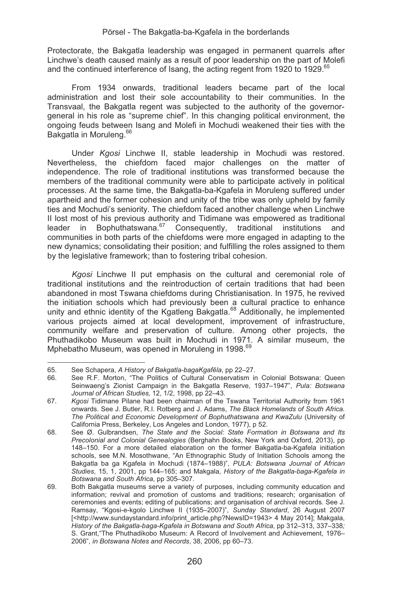Protectorate, the Bakgatla leadership was engaged in permanent quarrels after Linchwe's death caused mainly as a result of poor leadership on the part of Molefi and the continued interference of Isang, the acting regent from 1920 to 1929.<sup>65</sup>

From 1934 onwards, traditional leaders became part of the local administration and lost their sole accountability to their communities. In the Transvaal, the Bakgatla regent was subjected to the authority of the governorgeneral in his role as "supreme chief". In this changing political environment, the ongoing feuds between Isang and Molefi in Mochudi weakened their ties with the Bakgatla in Moruleng.<sup>66</sup>

Under *Kgosi* Linchwe II, stable leadership in Mochudi was restored. Nevertheless, the chiefdom faced major challenges on the matter of independence. The role of traditional institutions was transformed because the members of the traditional community were able to participate actively in political processes. At the same time, the Bakgatla-ba-Kgafela in Moruleng suffered under apartheid and the former cohesion and unity of the tribe was only upheld by family ties and Mochudi's seniority. The chiefdom faced another challenge when Linchwe II lost most of his previous authority and Tidimane was empowered as traditional<br>leader in Bophuthatswana<sup>67</sup> Consequently traditional institutions and leader in Bophuthatswana. $^{67}$  Consequently, traditional institutions communities in both parts of the chiefdoms were more engaged in adapting to the new dynamics; consolidating their position; and fulfilling the roles assigned to them by the legislative framework; than to fostering tribal cohesion.

*Kgosi* Linchwe II put emphasis on the cultural and ceremonial role of traditional institutions and the reintroduction of certain traditions that had been abandoned in most Tswana chiefdoms during Christianisation. In 1975, he revived the initiation schools which had previously been a cultural practice to enhance unity and ethnic identity of the Kgatleng Bakgatla.<sup>68</sup> Additionally, he implemented various projects aimed at local development, improvement of infrastructure, community welfare and preservation of culture. Among other projects, the Phuthadikobo Museum was built in Mochudi in 1971. A similar museum, the Mphebatho Museum, was opened in Moruleng in 1998.<sup>69</sup>

65. See Schapera, *A History of Bakgatla-bagaKgafêla*, pp 22–27.

<sup>66.</sup> See R.F. Morton, "The Politics of Cultural Conservatism in Colonial Botswana: Queen Seinwaeng's Zionist Campaign in the Bakgatla Reserve, 1937–1947", *Pula: Botswana Journal of African Studies,* 12, 1/2, 1998, pp 22–43.

<sup>67.</sup> *Kgosi* Tidimane Pilane had been chairman of the Tswana Territorial Authority from 1961 onwards. See J. Butler, R.I. Rotberg and J. Adams, *The Black Homelands of South Africa. The Political and Economic Development of Bophuthatswana and KwaZulu* (University of California Press, Berkeley, Los Angeles and London, 1977), p 52.

<sup>68.</sup> See Ø. Gulbrandsen, *The State and the Social: State Formation in Botswana and Its Precolonial and Colonial Genealogies* (Berghahn Books, New York and Oxford, 2013), pp 148–150. For a more detailed elaboration on the former Bakgatla-ba-Kgafela initiation schools, see M.N. Mosothwane, "An Ethnographic Study of Initiation Schools among the Bakgatla ba ga Kgafela in Mochudi (1874–1988)", *PULA: Botswana Journal of African Studies*, 15, 1, 2001, pp 144–165; and Makgala, *History of the Bakgatla-baga-Kgafela in Botswana and South Africa*, pp 305–307.

<sup>69.</sup> Both Bakgatla museums serve a variety of purposes, including community education and information; revival and promotion of customs and traditions; research; organisation of ceremonies and events; editing of publications; and organisation of archival records. See J. Ramsay, "Kgosi-e-kgolo Linchwe II (1935–2007)", *Sunday Standard*, 26 August 2007 [<http://www.sundaystandard.info/print\_article.php?NewsID=1943> 4 May 2014]; Makgala, *History of the Bakgatla-baga-Kgafela in Botswana and South Africa*, pp 312–313, 337–338*;*  S. Grant,"The Phuthadikobo Museum: A Record of Involvement and Achievement, 1976– 2006", *in Botswana Notes and Records*, 38, 2006, pp 60–73.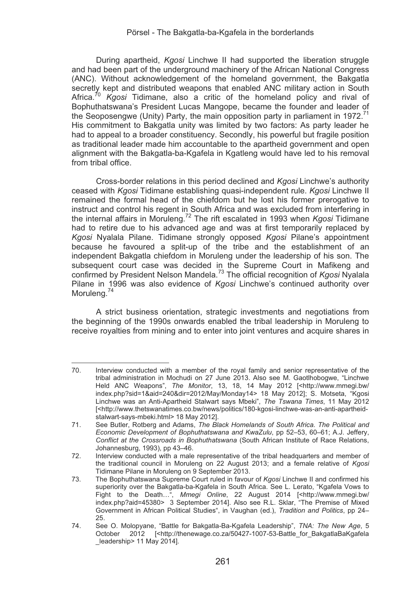During apartheid, *Kgosi* Linchwe II had supported the liberation struggle and had been part of the underground machinery of the African National Congress (ANC). Without acknowledgement of the homeland government, the Bakgatla secretly kept and distributed weapons that enabled ANC military action in South Africa.<sup>70</sup> *Kgosi* Tidimane, also a critic of the homeland policy and rival of Bophuthatswana's President Lucas Mangope, became the founder and leader of the Seoposengwe (Unity) Party, the main opposition party in parliament in 1972.<sup>71</sup> His commitment to Bakgatla unity was limited by two factors: As party leader he had to appeal to a broader constituency. Secondly, his powerful but fragile position as traditional leader made him accountable to the apartheid government and open alignment with the Bakgatla-ba-Kgafela in Kgatleng would have led to his removal from tribal office.

Cross-border relations in this period declined and *Kgosi* Linchwe's authority ceased with *Kgosi* Tidimane establishing quasi-independent rule. *Kgosi* Linchwe II remained the formal head of the chiefdom but he lost his former prerogative to instruct and control his regent in South Africa and was excluded from interfering in the internal affairs in Moruleng.72 The rift escalated in 1993 when *Kgosi* Tidimane had to retire due to his advanced age and was at first temporarily replaced by *Kgosi* Nyalala Pilane. Tidimane strongly opposed *Kgosi* Pilane's appointment because he favoured a split-up of the tribe and the establishment of an independent Bakgatla chiefdom in Moruleng under the leadership of his son. The subsequent court case was decided in the Supreme Court in Mafikeng and confirmed by President Nelson Mandela.73 The official recognition of *Kgosi* Nyalala Pilane in 1996 was also evidence of *Kgosi* Linchwe's continued authority over Moruleng.<sup>74</sup>

A strict business orientation, strategic investments and negotiations from the beginning of the 1990s onwards enabled the tribal leadership in Moruleng to receive royalties from mining and to enter into joint ventures and acquire shares in

<u> Alexandria de la contrada de la contrada de la contrada de la contrada de la contrada de la contrada de la c</u>

<sup>70.</sup> Interview conducted with a member of the royal family and senior representative of the tribal administration in Mochudi on 27 June 2013. Also see M. Gaotlhobogwe, "Linchwe Held ANC Weapons", The Monitor, 13, 18, 14 May 2012 [<http://www.mmegi.bw/ index.php?sid=1&aid=240&dir=2012/May/Monday14> 18 May 2012]; S. Motseta, "Kgosi Linchwe was an Anti-Apartheid Stalwart says Mbeki", *The Tswana Times*, 11 May 2012 [<http://www.thetswanatimes.co.bw/news/politics/180-kgosi-linchwe-was-an-anti-apartheidstalwart-says-mbeki.html> 18 May 2012].

<sup>71.</sup> See Butler, Rotberg and Adams, *The Black Homelands of South Africa. The Political and Economic Development of Bophuthatswana and KwaZulu*, pp 52–53, 60–61; A.J. Jeffery, *Conflict at the Crossroads in Bophuthatswana* (South African Institute of Race Relations, Johannesburg, 1993), pp 43–46.

<sup>72.</sup> Interview conducted with a male representative of the tribal headquarters and member of the traditional council in Moruleng on 22 August 2013; and a female relative of *Kgosi* Tidimane Pilane in Moruleng on 9 September 2013.

<sup>73.</sup> The Bophuthatswana Supreme Court ruled in favour of *Kgosi* Linchwe II and confirmed his superiority over the Bakgatla-ba-Kgafela in South Africa. See L. Lerato, "Kgafela Vows to Fight to the Death…", *Mmegi Online*, 22 August 2014 [<http://www.mmegi.bw/ index.php?aid=45380> 3 September 2014]. Also see R.L. Sklar, "The Premise of Mixed Government in African Political Studies", in Vaughan (ed.), *Tradition and Politics*, pp 24– 25.

<sup>74.</sup> See O. Molopyane, "Battle for Bakgatla-Ba-Kgafela Leadership", *TNA: The New Age*, 5 October 2012 [<http://thenewage.co.za/50427-1007-53-Battle for BakgatlaBaKgafela leadership> 11 May 2014].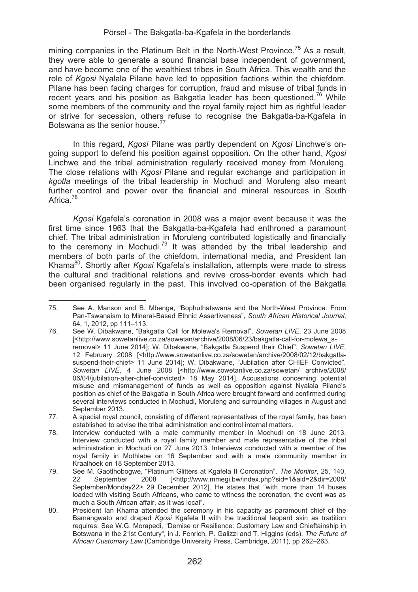mining companies in the Platinum Belt in the North-West Province.<sup>75</sup> As a result, they were able to generate a sound financial base independent of government, and have become one of the wealthiest tribes in South Africa. This wealth and the role of *Kgosi* Nyalala Pilane have led to opposition factions within the chiefdom. Pilane has been facing charges for corruption, fraud and misuse of tribal funds in recent years and his position as Bakgatla leader has been questioned.<sup>76</sup> While some members of the community and the royal family reject him as rightful leader or strive for secession, others refuse to recognise the Bakgatla-ba-Kgafela in Botswana as the senior house.77

In this regard, *Kgosi* Pilane was partly dependent on *Kgosi* Linchwe's ongoing support to defend his position against opposition. On the other hand, *Kgosi*  Linchwe and the tribal administration regularly received money from Moruleng. The close relations with *Kgosi* Pilane and regular exchange and participation in *kgotla* meetings of the tribal leadership in Mochudi and Moruleng also meant further control and power over the financial and mineral resources in South Africa<sup>78</sup>

*Kgosi* Kgafela's coronation in 2008 was a major event because it was the first time since 1963 that the Bakgatla-ba-Kgafela had enthroned a paramount chief. The tribal administration in Moruleng contributed logistically and financially to the ceremony in Mochudi.<sup>79</sup> It was attended by the tribal leadership and members of both parts of the chiefdom, international media, and President Ian Khama80. Shortly after *Kgosi* Kgafela's installation, attempts were made to stress the cultural and traditional relations and revive cross-border events which had been organised regularly in the past. This involved co-operation of the Bakgatla

75. See A. Manson and B. Mbenga, "Bophuthatswana and the North-West Province: From Pan-Tswanaism to Mineral-Based Ethnic Assertiveness", *South African Historical Journal*, 64, 1, 2012, pp 111–113.

<sup>76.</sup> See W. Dibakwane, "Bakgatla Call for Molewa's Removal", *Sowetan LIVE*, 23 June 2008 [<http://www.sowetanlive.co.za/sowetan/archive/2008/06/23/bakgatla-call-for-molewa\_sremoval> 11 June 2014]; W. Dibakwane, "Bakgatla Suspend their Chief", *Sowetan LIVE*, 12 February 2008 [<http://www.sowetanlive.co.za/sowetan/archive/2008/02/12/bakgatlasuspend-their-chief> 11 June 2014]; W. Dibakwane, "Jubilation after CHIEF Convicted", *Sowetan LIVE*, 4 June 2008 [<http://www.sowetanlive.co.za/sowetan/ archive/2008/ 06/04/jubilation-after-chief-convicted> 18 May 2014]. Accusations concerning potential misuse and mismanagement of funds as well as opposition against Nyalala Pilane's position as chief of the Bakgatla in South Africa were brought forward and confirmed during several interviews conducted in Mochudi, Moruleng and surrounding villages in August and September 2013.

<sup>77.</sup> A special royal council, consisting of different representatives of the royal family, has been established to advise the tribal administration and control internal matters.

<sup>78.</sup> Interview conducted with a male community member in Mochudi on 18 June 2013. Interview conducted with a royal family member and male representative of the tribal administration in Mochudi on 27 June 2013. Interviews conducted with a member of the royal family in Mothlabe on 16 September and with a male community member in Kraalhoek on 18 September 2013.

<sup>79.</sup> See M. Gaotlhobogwe, "Platinum Glitters at Kgafela II Coronation", *The Monitor*, 25, 140, 22 September 2008 [<http://www.mmegi.bw/index.php?sid=1&aid=2&dir=2008/ September/Monday22> 29 December 2012]. He states that "with more than 14 buses loaded with visiting South Africans, who came to witness the coronation, the event was as much a South African affair, as it was local".

<sup>80.</sup> President Ian Khama attended the ceremony in his capacity as paramount chief of the Bamangwato and draped *Kgosi* Kgafela II with the traditional leopard skin as tradition requires. See W.G. Morapedi, "Demise or Resilience: Customary Law and Chieftainship in Botswana in the 21st Century", in J. Fenrich, P. Galizzi and T. Higgins (eds), *The Future of African Customary Law* (Cambridge University Press, Cambridge, 2011), pp 262–263.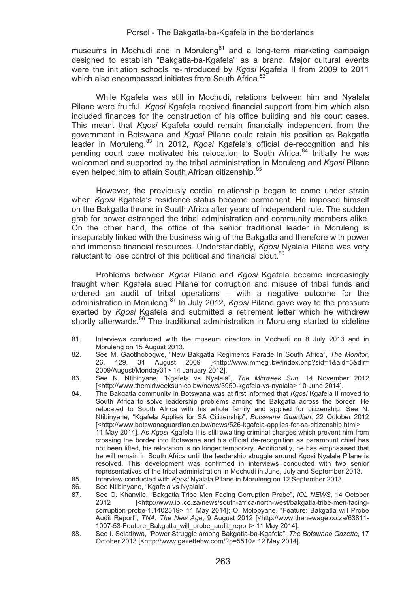museums in Mochudi and in Moruleng $^{81}$  and a long-term marketing campaign designed to establish "Bakgatla-ba-Kgafela" as a brand. Major cultural events were the initiation schools re-introduced by *Kgosi* Kgafela II from 2009 to 2011 which also encompassed initiates from South Africa.<sup>82</sup>

While Kgafela was still in Mochudi, relations between him and Nyalala Pilane were fruitful. *Kgosi* Kgafela received financial support from him which also included finances for the construction of his office building and his court cases. This meant that *Kgosi* Kgafela could remain financially independent from the government in Botswana and *Kgosi* Pilane could retain his position as Bakgatla leader in Moruleng.83 In 2012, *Kgosi* Kgafela's official de-recognition and his pending court case motivated his relocation to South Africa.<sup>84</sup> Initially he was welcomed and supported by the tribal administration in Moruleng and *Kgosi* Pilane even helped him to attain South African citizenship.<sup>85</sup>

However, the previously cordial relationship began to come under strain when *Kgosi* Kgafela's residence status became permanent. He imposed himself on the Bakgatla throne in South Africa after years of independent rule. The sudden grab for power estranged the tribal administration and community members alike. On the other hand, the office of the senior traditional leader in Moruleng is inseparably linked with the business wing of the Bakgatla and therefore with power and immense financial resources. Understandably, *Kgosi* Nyalala Pilane was very reluctant to lose control of this political and financial clout.<sup>86</sup>

Problems between *Kgosi* Pilane and *Kgosi* Kgafela became increasingly fraught when Kgafela sued Pilane for corruption and misuse of tribal funds and ordered an audit of tribal operations – with a negative outcome for the administration in Moruleng.87 In July 2012, *Kgosi* Pilane gave way to the pressure exerted by *Kgosi* Kgafela and submitted a retirement letter which he withdrew shortly afterwards.<sup>88</sup> The traditional administration in Moruleng started to sideline

<sup>&</sup>lt;u> Alexandria de la contexta de la contexta de la contexta de la contexta de la contexta de la contexta de la c</u> 81. Interviews conducted with the museum directors in Mochudi on 8 July 2013 and in Moruleng on 15 August 2013.

<sup>82.</sup> See M. Gaotlhobogwe, "New Bakgatla Regiments Parade In South Africa", *The Monitor*, 26, 129, 31 August 2009 [<http://www.mmegi.bw/index.php?sid=1&aid=5&dir= 2009/August/Monday31> 14 January 2012].

<sup>83.</sup> See N. Ntibinyane, "Kgafela vs Nyalala", *The Midweek Sun*, 14 November 2012 [<http://www.themidweeksun.co.bw/news/3950-kgafela-vs-nyalala> 10 June 2014].

<sup>84.</sup> The Bakgatla community in Botswana was at first informed that *Kgosi* Kgafela II moved to South Africa to solve leadership problems among the Bakgatla across the border. He relocated to South Africa with his whole family and applied for citizenship. See N. Ntibinyane, "Kgafela Applies for SA Citizenship", *Botswana Guardian*, 22 October 2012 [<http://www.botswanaguardian.co.bw/news/526-kgafela-applies-for-sa-citizenship.html> 11 May 2014]. As *Kgosi* Kgafela II is still awaiting criminal charges which prevent him from crossing the border into Botswana and his official de-recognition as paramount chief has not been lifted, his relocation is no longer temporary. Additionally, he has emphasised that he will remain in South Africa until the leadership struggle around Kgosi Nyalala Pilane is resolved. This development was confirmed in interviews conducted with two senior representatives of the tribal administration in Mochudi in June, July and September 2013.

<sup>85.</sup> Interview conducted with *Kgosi* Nyalala Pilane in Moruleng on 12 September 2013.

<sup>86.</sup> See Ntibinyane, "Kgafela vs Nyalala".<br>87. See G. Khanvile. "Bakgatla Tribe Me

<sup>87.</sup> See G. Khanyile, "Bakgatla Tribe Men Facing Corruption Probe", *IOL NEWS*, 14 October [<http://www.iol.co.za/news/south-africa/north-west/bakgatla-tribe-men-facingcorruption-probe-1.1402519> 11 May 2014]; O. Molopyane, "Feature: Bakgatla will Probe Audit Report", *TNA. The New Age*, 9 August 2012 [<http://www.thenewage.co.za/63811- 1007-53-Feature\_Bakgatla\_will\_probe\_audit\_report> 11 May 2014].

<sup>88.</sup> See I. Selatlhwa, "Power Struggle among Bakgatla-ba-Kgafela", *The Botswana Gazette*, 17 October 2013 [<http://www.gazettebw.com/?p=5510> 12 May 2014].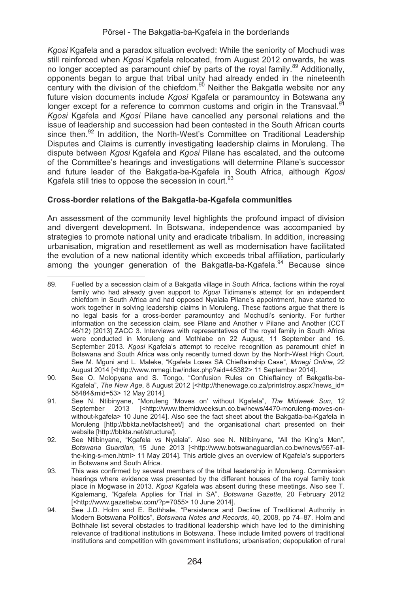*Kgosi* Kgafela and a paradox situation evolved: While the seniority of Mochudi was still reinforced when *Kgosi* Kgafela relocated, from August 2012 onwards, he was no longer accepted as paramount chief by parts of the royal family.<sup>89</sup> Additionally, opponents began to argue that tribal unity had already ended in the nineteenth century with the division of the chiefdom.<sup>90</sup> Neither the Bakgatla website nor any future vision documents include *Kgosi* Kgafela or paramountcy in Botswana any longer except for a reference to common customs and origin in the Transvaal.<sup>91</sup> *Kgosi* Kgafela and *Kgosi* Pilane have cancelled any personal relations and the issue of leadership and succession had been contested in the South African courts since then.<sup>92</sup> In addition, the North-West's Committee on Traditional Leadership Disputes and Claims is currently investigating leadership claims in Moruleng. The dispute between *Kgosi* Kgafela and *Kgosi* Pilane has escalated, and the outcome of the Committee's hearings and investigations will determine Pilane's successor and future leader of the Bakgatla-ba-Kgafela in South Africa, although *Kgosi*  Kgafela still tries to oppose the secession in court.<sup>93</sup>

# **Cross-border relations of the Bakgatla-ba-Kgafela communities**

An assessment of the community level highlights the profound impact of division and divergent development. In Botswana, independence was accompanied by strategies to promote national unity and eradicate tribalism. In addition, increasing urbanisation, migration and resettlement as well as modernisation have facilitated the evolution of a new national identity which exceeds tribal affiliation, particularly among the younger generation of the Bakgatla-ba-Kgafela.<sup>94</sup> Because since

- 90. See O. Molopyane and S. Tongo, "Confusion Rules on Chieftaincy of Bakgatla-ba-Kgafela", *The New Age*, 8 August 2012 [<http://thenewage.co.za/printstroy.aspx?news\_id= 58484&mid=53> 12 May 2014].
- 91. See N. Ntibinyane, "Moruleng 'Moves on' without Kgafela", *The Midweek Sun*, 12 September 2013 [<http://www.themidweeksun.co.bw/news/4470-moruleng-moves-onwithout-kgafela> 10 June 2014]. Also see the fact sheet about the Bakgatla-ba-Kgafela in Moruleng [http://bbkta.net/factsheet/] and the organisational chart presented on their website [http://bbkta.net/structure/].
- 92. See Ntibinyane, "Kgafela vs Nyalala". Also see N. Ntibinyane, "All the King's Men", *Botswana Guardian*, 15 June 2013 [<http://www.botswanaguardian.co.bw/news/557-allthe-king-s-men.html> 11 May 2014]. This article gives an overview of Kgafela's supporters in Botswana and South Africa.
- 93. This was confirmed by several members of the tribal leadership in Moruleng. Commission hearings where evidence was presented by the different houses of the royal family took place in Mogwase in 2013. *Kgosi* Kgafela was absent during these meetings. Also see T. Kgalemang, "Kgafela Applies for Trial in SA", *Botswana Gazette*, 20 February 2012 [<http://www.gazettebw.com/?p=7055> 10 June 2014].
- 94. See J.D. Holm and E. Bothhale, "Persistence and Decline of Traditional Authority in Modern Botswana Politics", *Botswana Notes and Records,* 40, 2008, pp 74–87. Holm and Bothhale list several obstacles to traditional leadership which have led to the diminishing relevance of traditional institutions in Botswana. These include limited powers of traditional institutions and competition with government institutions; urbanisation; depopulation of rural

89. Fuelled by a secession claim of a Bakgatla village in South Africa, factions within the royal family who had already given support to *Kgosi* Tidimane's attempt for an independent chiefdom in South Africa and had opposed Nyalala Pilane's appointment, have started to work together in solving leadership claims in Moruleng. These factions argue that there is no legal basis for a cross-border paramountcy and Mochudi's seniority. For further information on the secession claim, see Pilane and Another v Pilane and Another (CCT 46/12) [2013] ZACC 3. Interviews with representatives of the royal family in South Africa were conducted in Moruleng and Mothlabe on 22 August, 11 September and 16. September 2013. *Kgosi* Kgafela's attempt to receive recognition as paramount chief in Botswana and South Africa was only recently turned down by the North-West High Court. See M. Mguni and L. Maleke, "Kgafela Loses SA Chieftainship Case", *Mmegi Online*, 22 August 2014 [<http://www.mmegi.bw/index.php?aid=45382> 11 September 2014].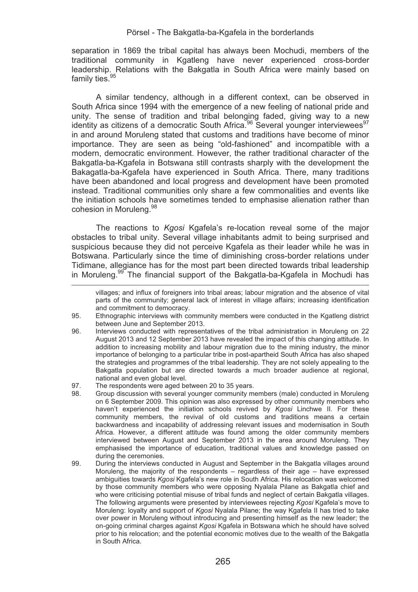separation in 1869 the tribal capital has always been Mochudi, members of the traditional community in Kgatleng have never experienced cross-border leadership. Relations with the Bakgatla in South Africa were mainly based on family ties.<sup>95</sup>

A similar tendency, although in a different context, can be observed in South Africa since 1994 with the emergence of a new feeling of national pride and unity. The sense of tradition and tribal belonging faded, giving way to a new identity as citizens of a democratic South Africa.<sup>96</sup> Several younger interviewees<sup>97</sup> in and around Moruleng stated that customs and traditions have become of minor importance. They are seen as being "old-fashioned" and incompatible with a modern, democratic environment. However, the rather traditional character of the Bakgatla-ba-Kgafela in Botswana still contrasts sharply with the development the Bakagatla-ba-Kgafela have experienced in South Africa. There, many traditions have been abandoned and local progress and development have been promoted instead. Traditional communities only share a few commonalities and events like the initiation schools have sometimes tended to emphasise alienation rather than cohesion in Moruleng. 98

The reactions to *Kgosi* Kgafela's re-location reveal some of the major obstacles to tribal unity. Several village inhabitants admit to being surprised and suspicious because they did not perceive Kgafela as their leader while he was in Botswana. Particularly since the time of diminishing cross-border relations under Tidimane, allegiance has for the most part been directed towards tribal leadership in Moruleng.<sup>99</sup> The financial support of the Bakgatla-ba-Kgafela in Mochudi has

- 97. The respondents were aged between 20 to 35 years.<br>98. Group discussion with several younger community m
- 98. Group discussion with several younger community members (male) conducted in Moruleng on 6 September 2009. This opinion was also expressed by other community members who haven't experienced the initiation schools revived by *Kgosi* Linchwe II. For these community members, the revival of old customs and traditions means a certain backwardness and incapability of addressing relevant issues and modernisation in South Africa. However, a different attitude was found among the older community members interviewed between August and September 2013 in the area around Moruleng. They emphasised the importance of education, traditional values and knowledge passed on during the ceremonies.
- 99. During the interviews conducted in August and September in the Bakgatla villages around Moruleng, the majority of the respondents – regardless of their age – have expressed ambiguities towards *Kgosi* Kgafela's new role in South Africa. His relocation was welcomed by those community members who were opposing Nyalala Pilane as Bakgatla chief and who were criticising potential misuse of tribal funds and neglect of certain Bakgatla villages. The following arguments were presented by interviewees rejecting *Kgosi* Kgafela's move to Moruleng: loyalty and support of *Kgosi* Nyalala Pilane; the way Kgafela II has tried to take over power in Moruleng without introducing and presenting himself as the new leader; the on-going criminal charges against *Kgosi* Kgafela in Botswana which he should have solved prior to his relocation; and the potential economic motives due to the wealth of the Bakgatla in South Africa.

<sup>&</sup>lt;u> La componenta de la componenta de la componenta de la componenta de la componenta de la componenta de la comp</u> villages; and influx of foreigners into tribal areas; labour migration and the absence of vital parts of the community; general lack of interest in village affairs; increasing identification and commitment to democracy.

<sup>95.</sup> Ethnographic interviews with community members were conducted in the Kgatleng district between June and September 2013.

<sup>96.</sup> Interviews conducted with representatives of the tribal administration in Moruleng on 22 August 2013 and 12 September 2013 have revealed the impact of this changing attitude. In addition to increasing mobility and labour migration due to the mining industry, the minor importance of belonging to a particular tribe in post-apartheid South Africa has also shaped the strategies and programmes of the tribal leadership. They are not solely appealing to the Bakgatla population but are directed towards a much broader audience at regional, national and even global level.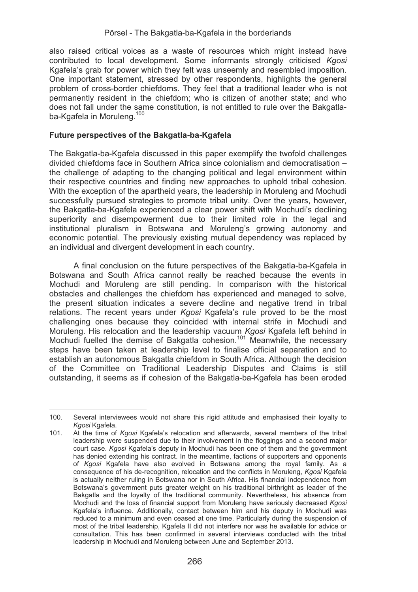also raised critical voices as a waste of resources which might instead have contributed to local development. Some informants strongly criticised *Kgosi*  Kgafela's grab for power which they felt was unseemly and resembled imposition. One important statement, stressed by other respondents, highlights the general problem of cross-border chiefdoms. They feel that a traditional leader who is not permanently resident in the chiefdom; who is citizen of another state; and who does not fall under the same constitution, is not entitled to rule over the Bakgatlaba-Kgafela in Moruleng.<sup>100</sup>

#### **Future perspectives of the Bakgatla-ba-Kgafela**

The Bakgatla-ba-Kgafela discussed in this paper exemplify the twofold challenges divided chiefdoms face in Southern Africa since colonialism and democratisation – the challenge of adapting to the changing political and legal environment within their respective countries and finding new approaches to uphold tribal cohesion. With the exception of the apartheid years, the leadership in Moruleng and Mochudi successfully pursued strategies to promote tribal unity. Over the years, however, the Bakgatla-ba-Kgafela experienced a clear power shift with Mochudi's declining superiority and disempowerment due to their limited role in the legal and institutional pluralism in Botswana and Moruleng's growing autonomy and economic potential. The previously existing mutual dependency was replaced by an individual and divergent development in each country.

A final conclusion on the future perspectives of the Bakgatla-ba-Kgafela in Botswana and South Africa cannot really be reached because the events in Mochudi and Moruleng are still pending. In comparison with the historical obstacles and challenges the chiefdom has experienced and managed to solve, the present situation indicates a severe decline and negative trend in tribal relations. The recent years under *Kgosi* Kgafela's rule proved to be the most challenging ones because they coincided with internal strife in Mochudi and Moruleng. His relocation and the leadership vacuum *Kgosi* Kgafela left behind in Mochudi fuelled the demise of Bakgatla cohesion.101 Meanwhile, the necessary steps have been taken at leadership level to finalise official separation and to establish an autonomous Bakgatla chiefdom in South Africa. Although the decision of the Committee on Traditional Leadership Disputes and Claims is still outstanding, it seems as if cohesion of the Bakgatla-ba-Kgafela has been eroded

<sup>&</sup>lt;u> Alexandria de la contexta de la contexta de la contexta de la contexta de la contexta de la contexta de la c</u> 100. Several interviewees would not share this rigid attitude and emphasised their loyalty to *Kgosi* Kgafela.

<sup>101.</sup> At the time of *Kgosi* Kgafela's relocation and afterwards, several members of the tribal leadership were suspended due to their involvement in the floggings and a second major court case. *Kgosi* Kgafela's deputy in Mochudi has been one of them and the government has denied extending his contract. In the meantime, factions of supporters and opponents of *Kgosi* Kgafela have also evolved in Botswana among the royal family. As a consequence of his de-recognition, relocation and the conflicts in Moruleng, *Kgosi* Kgafela is actually neither ruling in Botswana nor in South Africa. His financial independence from Botswana's government puts greater weight on his traditional birthright as leader of the Bakgatla and the loyalty of the traditional community. Nevertheless, his absence from Mochudi and the loss of financial support from Moruleng have seriously decreased *Kgosi*  Kgafela's influence. Additionally, contact between him and his deputy in Mochudi was reduced to a minimum and even ceased at one time. Particularly during the suspension of most of the tribal leadership, Kgafela II did not interfere nor was he available for advice or consultation. This has been confirmed in several interviews conducted with the tribal leadership in Mochudi and Moruleng between June and September 2013.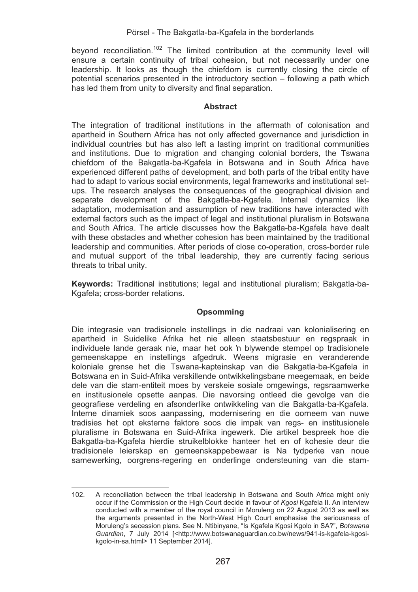beyond reconciliation.<sup>102</sup> The limited contribution at the community level will ensure a certain continuity of tribal cohesion, but not necessarily under one leadership. It looks as though the chiefdom is currently closing the circle of potential scenarios presented in the introductory section – following a path which has led them from unity to diversity and final separation.

### **Abstract**

The integration of traditional institutions in the aftermath of colonisation and apartheid in Southern Africa has not only affected governance and jurisdiction in individual countries but has also left a lasting imprint on traditional communities and institutions. Due to migration and changing colonial borders, the Tswana chiefdom of the Bakgatla-ba-Kgafela in Botswana and in South Africa have experienced different paths of development, and both parts of the tribal entity have had to adapt to various social environments, legal frameworks and institutional setups. The research analyses the consequences of the geographical division and separate development of the Bakgatla-ba-Kgafela. Internal dynamics like adaptation, modernisation and assumption of new traditions have interacted with external factors such as the impact of legal and institutional pluralism in Botswana and South Africa. The article discusses how the Bakgatla-ba-Kgafela have dealt with these obstacles and whether cohesion has been maintained by the traditional leadership and communities. After periods of close co-operation, cross-border rule and mutual support of the tribal leadership, they are currently facing serious threats to tribal unity.

**Keywords:** Traditional institutions; legal and institutional pluralism; Bakgatla-ba-Kgafela; cross-border relations.

# **Opsomming**

Die integrasie van tradisionele instellings in die nadraai van kolonialisering en apartheid in Suidelike Afrika het nie alleen staatsbestuur en regspraak in individuele lande geraak nie, maar het ook 'n blywende stempel op tradisionele gemeenskappe en instellings afgedruk. Weens migrasie en veranderende koloniale grense het die Tswana-kapteinskap van die Bakgatla-ba-Kgafela in Botswana en in Suid-Afrika verskillende ontwikkelingsbane meegemaak, en beide dele van die stam-entiteit moes by verskeie sosiale omgewings, regsraamwerke en institusionele opsette aanpas. Die navorsing ontleed die gevolge van die geografiese verdeling en afsonderlike ontwikkeling van die Bakgatla-ba-Kgafela. Interne dinamiek soos aanpassing, modernisering en die oorneem van nuwe tradisies het opt eksterne faktore soos die impak van regs- en institusionele pluralisme in Botswana en Suid-Afrika ingewerk. Die artikel bespreek hoe die Bakgatla-ba-Kgafela hierdie struikelblokke hanteer het en of kohesie deur die tradisionele leierskap en gemeenskappebewaar is Na tydperke van noue samewerking, oorgrens-regering en onderlinge ondersteuning van die stam-

<u> Alexandria de la contexta de la contexta de la contexta de la contexta de la contexta de la contexta de la c</u>

<sup>102.</sup> A reconciliation between the tribal leadership in Botswana and South Africa might only occur if the Commission or the High Court decide in favour of *Kgosi* Kgafela II. An interview conducted with a member of the royal council in Moruleng on 22 August 2013 as well as the arguments presented in the North-West High Court emphasise the seriousness of Moruleng's secession plans. See N. Ntibinyane, "Is Kgafela Kgosi Kgolo in SA?", *Botswana Guardian*, 7 July 2014 [<http://www.botswanaguardian.co.bw/news/941-is-kgafela-kgosikgolo-in-sa.html> 11 September 2014].